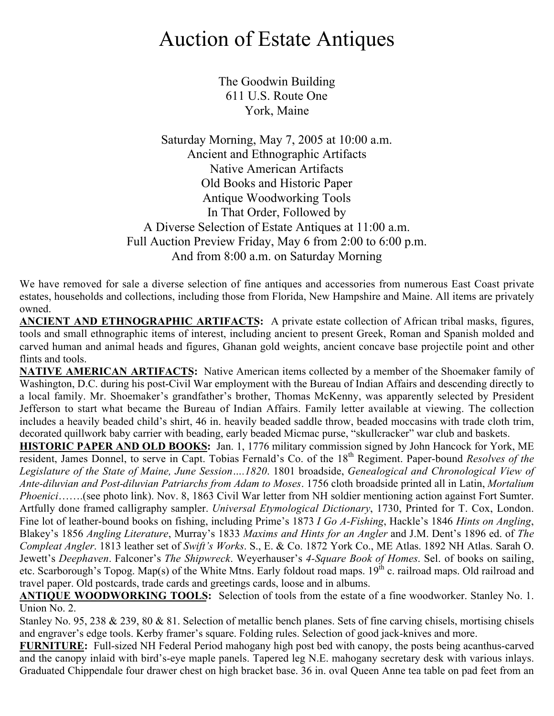## Auction of Estate Antiques

The Goodwin Building 611 U.S. Route One York, Maine

Saturday Morning, May 7, 2005 at 10:00 a.m. Ancient and Ethnographic Artifacts Native American Artifacts Old Books and Historic Paper Antique Woodworking Tools In That Order, Followed by A Diverse Selection of Estate Antiques at 11:00 a.m. Full Auction Preview Friday, May 6 from 2:00 to 6:00 p.m. And from 8:00 a.m. on Saturday Morning

We have removed for sale a diverse selection of fine antiques and accessories from numerous East Coast private estates, households and collections, including those from Florida, New Hampshire and Maine. All items are privately owned.

**ANCIENT AND ETHNOGRAPHIC ARTIFACTS:** A private estate collection of African tribal masks, figures, tools and small ethnographic items of interest, including ancient to present Greek, Roman and Spanish molded and carved human and animal heads and figures, Ghanan gold weights, ancient concave base projectile point and other flints and tools.

**NATIVE AMERICAN ARTIFACTS:** Native American items collected by a member of the Shoemaker family of Washington, D.C. during his post-Civil War employment with the Bureau of Indian Affairs and descending directly to a local family. Mr. Shoemaker's grandfather's brother, Thomas McKenny, was apparently selected by President Jefferson to start what became the Bureau of Indian Affairs. Family letter available at viewing. The collection includes a heavily beaded child's shirt, 46 in. heavily beaded saddle throw, beaded moccasins with trade cloth trim, decorated quillwork baby carrier with beading, early beaded Micmac purse, "skullcracker" war club and baskets.

**HISTORIC PAPER AND OLD BOOKS:** Jan. 1, 1776 military commission signed by John Hancock for York, ME resident, James Donnel, to serve in Capt. Tobias Fernald's Co. of the 18th Regiment. Paper-bound *Resolves of the Legislature of the State of Maine, June Session….1820*. 1801 broadside, *Genealogical and Chronological View of Ante-diluvian and Post-diluvian Patriarchs from Adam to Moses*. 1756 cloth broadside printed all in Latin, *Mortalium Phoenici*…….(see photo link). Nov. 8, 1863 Civil War letter from NH soldier mentioning action against Fort Sumter. Artfully done framed calligraphy sampler. *Universal Etymological Dictionary*, 1730, Printed for T. Cox, London. Fine lot of leather-bound books on fishing, including Prime's 1873 *I Go A-Fishing*, Hackle's 1846 *Hints on Angling*, Blakey's 1856 *Angling Literature*, Murray's 1833 *Maxims and Hints for an Angler* and J.M. Dent's 1896 ed. of *The Compleat Angler*. 1813 leather set of *Swift's Works*. S., E. & Co. 1872 York Co., ME Atlas. 1892 NH Atlas. Sarah O. Jewett's *Deephaven*. Falconer's *The Shipwreck*. Weyerhauser's *4-Square Book of Homes*. Sel. of books on sailing, etc. Scarborough's Topog. Map(s) of the White Mtns. Early foldout road maps.  $19^{th}$  c. railroad maps. Old railroad and travel paper. Old postcards, trade cards and greetings cards, loose and in albums.

**ANTIQUE WOODWORKING TOOLS:** Selection of tools from the estate of a fine woodworker. Stanley No. 1. Union No. 2.

Stanley No. 95, 238 & 239, 80 & 81. Selection of metallic bench planes. Sets of fine carving chisels, mortising chisels and engraver's edge tools. Kerby framer's square. Folding rules. Selection of good jack-knives and more.

**FURNITURE:** Full-sized NH Federal Period mahogany high post bed with canopy, the posts being acanthus-carved and the canopy inlaid with bird's-eye maple panels. Tapered leg N.E. mahogany secretary desk with various inlays. Graduated Chippendale four drawer chest on high bracket base. 36 in. oval Queen Anne tea table on pad feet from an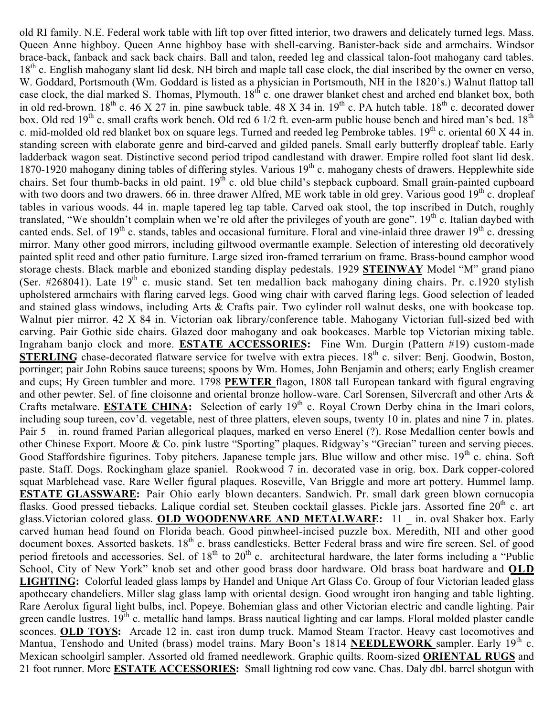old RI family. N.E. Federal work table with lift top over fitted interior, two drawers and delicately turned legs. Mass. Queen Anne highboy. Queen Anne highboy base with shell-carving. Banister-back side and armchairs. Windsor brace-back, fanback and sack back chairs. Ball and talon, reeded leg and classical talon-foot mahogany card tables. 18<sup>th</sup> c. English mahogany slant lid desk. NH birch and maple tall case clock, the dial inscribed by the owner en verso, W. Goddard, Portsmouth (Wm. Goddard is listed as a physician in Portsmouth, NH in the 1820's.) Walnut flattop tall case clock, the dial marked S. Thomas, Plymouth. 18<sup>th</sup> c. one drawer blanket chest and arched end blanket box, both in old red-brown.  $18^{th}$  c. 46 X 27 in. pine sawbuck table. 48 X 34 in.  $19^{th}$  c. PA hutch table.  $18^{th}$  c. decorated dower box. Old red  $19^{th}$  c. small crafts work bench. Old red 6 1/2 ft. even-arm public house bench and hired man's bed.  $18^{th}$ c. mid-molded old red blanket box on square legs. Turned and reeded leg Pembroke tables.  $19^{th}$  c. oriental 60 X 44 in. standing screen with elaborate genre and bird-carved and gilded panels. Small early butterfly dropleaf table. Early ladderback wagon seat. Distinctive second period tripod candlestand with drawer. Empire rolled foot slant lid desk. 1870-1920 mahogany dining tables of differing styles. Various 19<sup>th</sup> c. mahogany chests of drawers. Hepplewhite side chairs. Set four thumb-backs in old paint. 19<sup>th</sup> c. old blue child's stepback cupboard. Small grain-painted cupboard with two doors and two drawers. 66 in. three drawer Alfred, ME work table in old grey. Various good  $19<sup>th</sup>$  c. dropleaf tables in various woods. 44 in. maple tapered leg tap table. Carved oak stool, the top inscribed in Dutch, roughly translated, "We shouldn't complain when we're old after the privileges of youth are gone".  $19<sup>th</sup>$  c. Italian daybed with canted ends. Sel. of  $19<sup>th</sup>$  c. stands, tables and occasional furniture. Floral and vine-inlaid three drawer  $19<sup>th</sup>$  c. dressing mirror. Many other good mirrors, including giltwood overmantle example. Selection of interesting old decoratively painted split reed and other patio furniture. Large sized iron-framed terrarium on frame. Brass-bound camphor wood storage chests. Black marble and ebonized standing display pedestals. 1929 **STEINWAY** Model "M" grand piano (Ser. #268041). Late  $19<sup>th</sup>$  c. music stand. Set ten medallion back mahogany dining chairs. Pr. c.1920 stylish upholstered armchairs with flaring carved legs. Good wing chair with carved flaring legs. Good selection of leaded and stained glass windows, including Arts & Crafts pair. Two cylinder roll walnut desks, one with bookcase top. Walnut pier mirror. 42 X 84 in. Victorian oak library/conference table. Mahogany Victorian full-sized bed with carving. Pair Gothic side chairs. Glazed door mahogany and oak bookcases. Marble top Victorian mixing table. Ingraham banjo clock and more. **ESTATE ACCESSORIES:** Fine Wm. Durgin (Pattern #19) custom-made **STERLING** chase-decorated flatware service for twelve with extra pieces. 18<sup>th</sup> c. silver: Benj. Goodwin, Boston, porringer; pair John Robins sauce tureens; spoons by Wm. Homes, John Benjamin and others; early English creamer and cups; Hy Green tumbler and more. 1798 **PEWTER** flagon, 1808 tall European tankard with figural engraving and other pewter. Sel. of fine cloisonne and oriental bronze hollow-ware. Carl Sorensen, Silvercraft and other Arts & Crafts metalware. **ESTATE CHINA:** Selection of early 19<sup>th</sup> c. Royal Crown Derby china in the Imari colors, including soup tureen, cov'd. vegetable, nest of three platters, eleven soups, twenty 10 in. plates and nine 7 in. plates. Pair 5 in. round framed Parian allegorical plaques, marked en verso Enerel (?). Rose Medallion center bowls and other Chinese Export. Moore & Co. pink lustre "Sporting" plaques. Ridgway's "Grecian" tureen and serving pieces. Good Staffordshire figurines. Toby pitchers. Japanese temple jars. Blue willow and other misc. 19<sup>th</sup> c. china. Soft paste. Staff. Dogs. Rockingham glaze spaniel. Rookwood 7 in. decorated vase in orig. box. Dark copper-colored squat Marblehead vase. Rare Weller figural plaques. Roseville, Van Briggle and more art pottery. Hummel lamp. **ESTATE GLASSWARE:** Pair Ohio early blown decanters. Sandwich. Pr. small dark green blown cornucopia flasks. Good pressed tiebacks. Lalique cordial set. Steuben cocktail glasses. Pickle jars. Assorted fine  $20<sup>th</sup>$  c. art glass.Victorian colored glass. **OLD WOODENWARE AND METALWARE:** 11 \_ in. oval Shaker box. Early carved human head found on Florida beach. Good pinwheel-incised puzzle box. Meredith, NH and other good document boxes. Assorted baskets. 18<sup>th</sup> c. brass candlesticks. Better Federal brass and wire fire screen. Sel. of good period firetools and accessories. Sel. of  $18<sup>th</sup>$  to  $20<sup>th</sup>$  c. architectural hardware, the later forms including a "Public School, City of New York" knob set and other good brass door hardware. Old brass boat hardware and **OLD LIGHTING:** Colorful leaded glass lamps by Handel and Unique Art Glass Co. Group of four Victorian leaded glass apothecary chandeliers. Miller slag glass lamp with oriental design. Good wrought iron hanging and table lighting. Rare Aerolux figural light bulbs, incl. Popeye. Bohemian glass and other Victorian electric and candle lighting. Pair green candle lustres.  $19<sup>th</sup>$  c. metallic hand lamps. Brass nautical lighting and car lamps. Floral molded plaster candle sconces. **OLD TOYS:** Arcade 12 in. cast iron dump truck. Mamod Steam Tractor. Heavy cast locomotives and Mantua, Tenshodo and United (brass) model trains. Mary Boon's 1814 **NEEDLEWORK** sampler. Early 19th c. Mexican schoolgirl sampler. Assorted old framed needlework. Graphic quilts. Room-sized **ORIENTAL RUGS** and 21 foot runner. More **ESTATE ACCESSORIES:** Small lightning rod cow vane. Chas. Daly dbl. barrel shotgun with